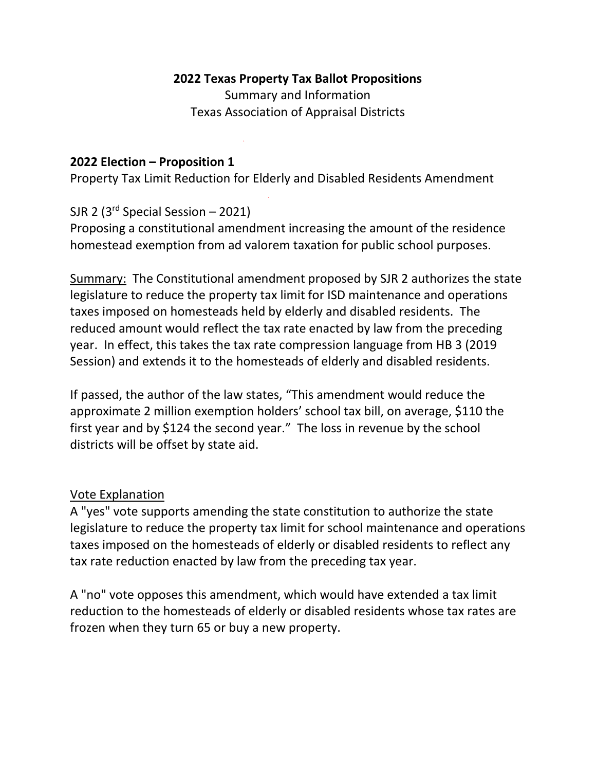## **2022 Texas Property Tax Ballot Propositions**

Summary and Information Texas Association of Appraisal Districts

#### **2022 Election – Proposition 1**

Property Tax Limit Reduction for Elderly and Disabled Residents Amendment

SJR 2 ( $3<sup>rd</sup>$  Special Session – 2021)

Proposing a constitutional amendment increasing the amount of the residence homestead exemption from ad valorem taxation for public school purposes.

Summary: The Constitutional amendment proposed by SJR 2 authorizes the state legislature to reduce the property tax limit for ISD maintenance and operations taxes imposed on homesteads held by elderly and disabled residents. The reduced amount would reflect the tax rate enacted by law from the preceding year. In effect, this takes the tax rate compression language from HB 3 (2019 Session) and extends it to the homesteads of elderly and disabled residents.

If passed, the author of the law states, "This amendment would reduce the approximate 2 million exemption holders' school tax bill, on average, \$110 the first year and by \$124 the second year." The loss in revenue by the school districts will be offset by state aid.

## Vote Explanation

A "yes" vote supports amending the state constitution to authorize the state legislature to reduce the property tax limit for school maintenance and operations taxes imposed on the homesteads of elderly or disabled residents to reflect any tax rate reduction enacted by law from the preceding tax year.

A "no" vote opposes this amendment, which would have extended a tax limit reduction to the homesteads of elderly or disabled residents whose tax rates are frozen when they turn 65 or buy a new property.